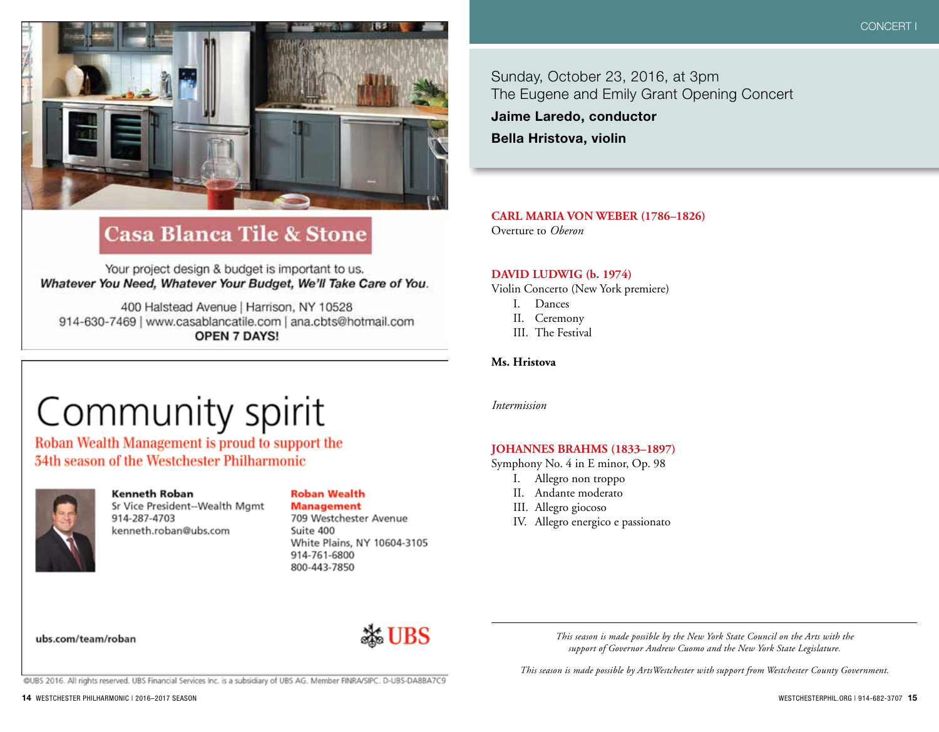

# **Casa Blanca Tile & Stone**

Your project design & budget is important to us. Whatever You Need, Whatever Your Budget, We'll Take Care of You.

400 Halstead Avenue | Harrison, NY 10528 914-630-7469 | www.casablancatile.com | ana.cbts@hotmail.com **OPEN 7 DAYS!** 

# Community spirit

Roban Wealth Management is proud to support the **34th season of the Westchester Philharmonic** 



#### **Kenneth Roban** Sr Vice President--Wealth Mgmt 914-287-4703 kenneth.roban@ubs.com

## **Roban Wealth**

**Management** 709 Westchester Avenue Suite 400 White Plains, NY 10604-3105 914-761-6800 800-443-7850

Sunday, October 23, 2016, at 3pm The Eugene and Emily Grant Opening Concert

**Jaime Laredo, conductor**

**Bella Hristova, violin**

**CARL MARIA VON WEBER (1786–1826)** Overture to *Oberon*

#### **DAVID LUDWIG (b. 1974)**

Violin Concerto (New York premiere)

- I. Dances
- II. Ceremony
- III. The Festival

**Ms. Hristova**

*Intermission*

### **JOHANNES BRAHMS (1833–1897)**

Symphony No. 4 in E minor, Op. 98

- I. Allegro non troppo
- II. Andante moderato
- III. Allegro giocoso
- IV. Allegro energico e passionato

ubs.com/team/roban



*This season is made possible by the New York State Council on the Arts with the support of Governor Andrew Cuomo and the New York State Legislature.*

*This season is made possible by ArtsWestchester with support from Westchester County Government.*

@UBS 2016. All rights reserved. UBS Financial Services Inc. is a subsidiary of UBS AG. Member FINRA/SIPC. D-UBS-DA8BA7C9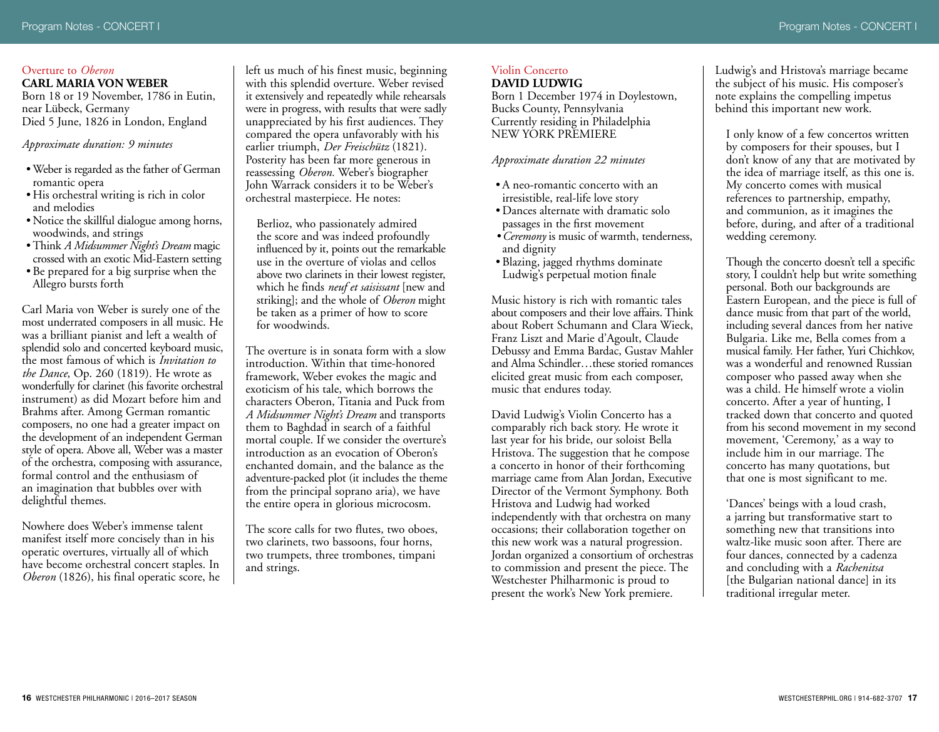#### Overture to *Oberon* **CARL MARIA VON WEBER**

Born 18 or 19 November, 1786 in Eutin, near Lübeck, Germany Died 5 June, 1826 in London, England

*Approximate duration: 9 minutes*

- •Weber is regarded as the father of German romantic opera
- His orchestral writing is rich in color and melodies
- Notice the skillful dialogue among horns, woodwinds, and strings
- •Think *A Midsummer Night's Dream* magic crossed with an exotic Mid-Eastern setting
- Be prepared for a big surprise when the Allegro bursts forth

Carl Maria von Weber is surely one of the most underrated composers in all music. He was a brilliant pianist and left a wealth of splendid solo and concerted keyboard music, the most famous of which is *Invitation to the Dance*, Op. 260 (1819). He wrote as wonderfully for clarinet (his favorite orchestral instrument) as did Mozart before him and Brahms after. Among German romantic composers, no one had a greater impact on the development of an independent German style of opera. Above all, Weber was a master of the orchestra, composing with assurance, formal control and the enthusiasm of an imagination that bubbles over with delightful themes.

Nowhere does Weber's immense talent manifest itself more concisely than in his operatic overtures, virtually all of which have become orchestral concert staples. In *Oberon* (1826), his final operatic score, he

left us much of his finest music, beginning with this splendid overture. Weber revised it extensively and repeatedly while rehearsals were in progress, with results that were sadly unappreciated by his first audiences. They compared the opera unfavorably with his earlier triumph, *Der Freischütz* (1821). Posterity has been far more generous in reassessing *Oberon.* Weber's biographer John Warrack considers it to be Weber's orchestral masterpiece. He notes:

Berlioz, who passionately admired the score and was indeed profoundly influenced by it, points out the remarkable use in the overture of violas and cellos above two clarinets in their lowest register, which he finds *neuf et saisissant* [new and striking]; and the whole of *Oberon* might be taken as a primer of how to score for woodwinds.

The overture is in sonata form with a slow introduction. Within that time-honored framework, Weber evokes the magic and exoticism of his tale, which borrows the characters Oberon, Titania and Puck from *A Midsummer Night's Dream* and transports them to Baghdad in search of a faithful mortal couple. If we consider the overture's introduction as an evocation of Oberon's enchanted domain, and the balance as the adventure-packed plot (it includes the theme from the principal soprano aria), we have the entire opera in glorious microcosm.

The score calls for two flutes, two oboes, two clarinets, two bassoons, four horns, two trumpets, three trombones, timpani and strings.

#### Violin Concerto **DAVID LUDWIG**

Born 1 December 1974 in Doylestown, Bucks County, Pennsylvania Currently residing in Philadelphia NEW YORK PREMIERE

#### *Approximate duration 22 minutes*

- •A neo-romantic concerto with an irresistible, real-life love story
- •Dances alternate with dramatic solo passages in the first movement
- *•Ceremony* is music of warmth, tenderness, and dignity
- Blazing, jagged rhythms dominate Ludwig's perpetual motion finale

Music history is rich with romantic tales about composers and their love affairs. Think about Robert Schumann and Clara Wieck, Franz Liszt and Marie d'Agoult, Claude Debussy and Emma Bardac, Gustav Mahler and Alma Schindler…these storied romances elicited great music from each composer, music that endures today.

David Ludwig's Violin Concerto has a comparably rich back story. He wrote it last year for his bride, our soloist Bella Hristova. The suggestion that he compose a concerto in honor of their forthcoming marriage came from Alan Jordan, Executive Director of the Vermont Symphony. Both Hristova and Ludwig had worked independently with that orchestra on many occasions; their collaboration together on this new work was a natural progression. Jordan organized a consortium of orchestras to commission and present the piece. The Westchester Philharmonic is proud to present the work's New York premiere.

Ludwig's and Hristova's marriage became the subject of his music. His composer's note explains the compelling impetus behind this important new work.

I only know of a few concertos written by composers for their spouses, but I don't know of any that are motivated by the idea of marriage itself, as this one is. My concerto comes with musical references to partnership, empathy, and communion, as it imagines the before, during, and after of a traditional wedding ceremony.

Though the concerto doesn't tell a specific story, I couldn't help but write something personal. Both our backgrounds are Eastern European, and the piece is full of dance music from that part of the world, including several dances from her native Bulgaria. Like me, Bella comes from a musical family. Her father, Yuri Chichkov, was a wonderful and renowned Russian composer who passed away when she was a child. He himself wrote a violin concerto. After a year of hunting, I tracked down that concerto and quoted from his second movement in my second movement, 'Ceremony,' as a way to include him in our marriage. The concerto has many quotations, but that one is most significant to me.

'Dances' beings with a loud crash, a jarring but transformative start to something new that transitions into waltz-like music soon after. There are four dances, connected by a cadenza and concluding with a *Rachenitsa* [the Bulgarian national dance] in its traditional irregular meter.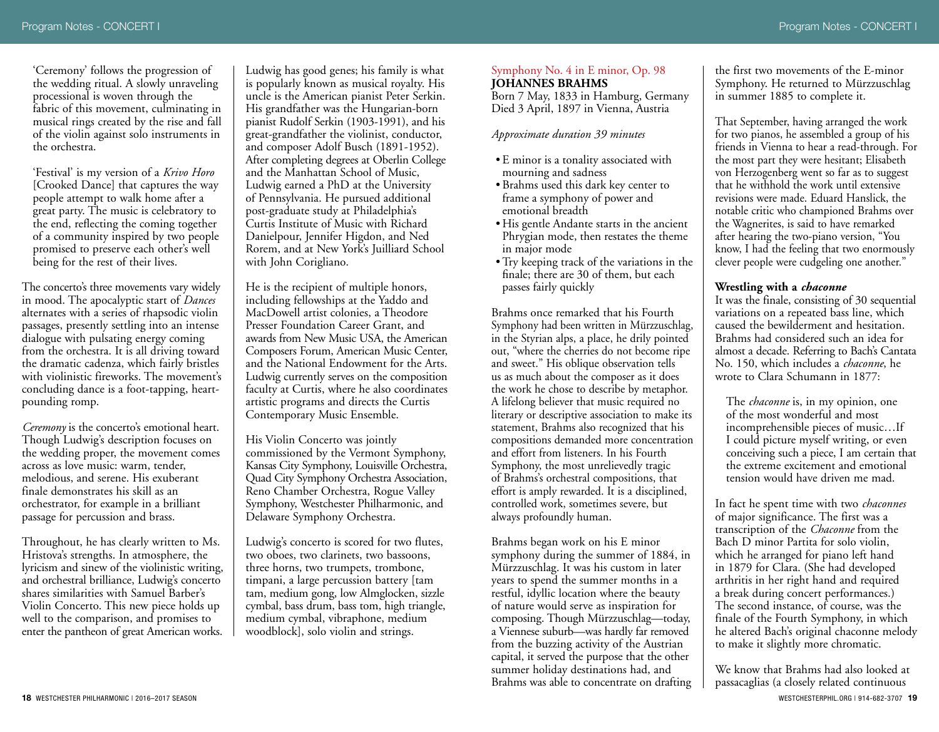'Ceremony' follows the progression of the wedding ritual. A slowly unraveling processional is woven through the fabric of this movement, culminating in musical rings created by the rise and fall of the violin against solo instruments in the orchestra.

'Festival' is my version of a *Krivo Horo* [Crooked Dance] that captures the way people attempt to walk home after a great party. The music is celebratory to the end, reflecting the coming together of a community inspired by two people promised to preserve each other's well being for the rest of their lives.

The concerto's three movements vary widely in mood. The apocalyptic start of *Dances* alternates with a series of rhapsodic violin passages, presently settling into an intense dialogue with pulsating energy coming from the orchestra. It is all driving toward the dramatic cadenza, which fairly bristles with violinistic fireworks. The movement's concluding dance is a foot-tapping, heartpounding romp.

*Ceremony* is the concerto's emotional heart. Though Ludwig's description focuses on the wedding proper, the movement comes across as love music: warm, tender, melodious, and serene. His exuberant finale demonstrates his skill as an orchestrator, for example in a brilliant passage for percussion and brass.

Throughout, he has clearly written to Ms. Hristova's strengths. In atmosphere, the lyricism and sinew of the violinistic writing, and orchestral brilliance, Ludwig's concerto shares similarities with Samuel Barber's Violin Concerto. This new piece holds up well to the comparison, and promises to enter the pantheon of great American works.

Ludwig has good genes; his family is what is popularly known as musical royalty. His uncle is the American pianist Peter Serkin. His grandfather was the Hungarian-born pianist Rudolf Serkin (1903-1991), and his great-grandfather the violinist, conductor, and composer Adolf Busch (1891-1952). After completing degrees at Oberlin College and the Manhattan School of Music, Ludwig earned a PhD at the University of Pennsylvania. He pursued additional post-graduate study at Philadelphia's Curtis Institute of Music with Richard Danielpour, Jennifer Higdon, and Ned Rorem, and at New York's Juilliard School with John Corigliano.

He is the recipient of multiple honors, including fellowships at the Yaddo and MacDowell artist colonies, a Theodore Presser Foundation Career Grant, and awards from New Music USA, the American Composers Forum, American Music Center, and the National Endowment for the Arts. Ludwig currently serves on the composition faculty at Curtis, where he also coordinates artistic programs and directs the Curtis Contemporary Music Ensemble.

His Violin Concerto was jointly commissioned by the Vermont Symphony, Kansas City Symphony, Louisville Orchestra, Quad City Symphony Orchestra Association, Reno Chamber Orchestra, Rogue Valley Symphony, Westchester Philharmonic, and Delaware Symphony Orchestra.

Ludwig's concerto is scored for two flutes, two oboes, two clarinets, two bassoons, three horns, two trumpets, trombone, timpani, a large percussion battery [tam tam, medium gong, low Almglocken, sizzle cymbal, bass drum, bass tom, high triangle, medium cymbal, vibraphone, medium woodblock], solo violin and strings.

#### Symphony No. 4 in E minor, Op. 98 **JOHANNES BRAHMS**

Born 7 May, 1833 in Hamburg, Germany Died 3 April, 1897 in Vienna, Austria

#### *Approximate duration 39 minutes*

- E minor is a tonality associated with mourning and sadness
- Brahms used this dark key center to frame a symphony of power and emotional breadth
- His gentle Andante starts in the ancient Phrygian mode, then restates the theme in major mode
- •Try keeping track of the variations in the finale; there are 30 of them, but each passes fairly quickly

Brahms once remarked that his Fourth Symphony had been written in Mürzzuschlag, in the Styrian alps, a place, he drily pointed out, "where the cherries do not become ripe and sweet." His oblique observation tells us as much about the composer as it does the work he chose to describe by metaphor. A lifelong believer that music required no literary or descriptive association to make its statement, Brahms also recognized that his compositions demanded more concentration and effort from listeners. In his Fourth Symphony, the most unrelievedly tragic of Brahms's orchestral compositions, that effort is amply rewarded. It is a disciplined, controlled work, sometimes severe, but always profoundly human.

Brahms began work on his E minor symphony during the summer of 1884, in Mürzzuschlag. It was his custom in later years to spend the summer months in a restful, idyllic location where the beauty of nature would serve as inspiration for composing. Though Mürzzuschlag—today, a Viennese suburb—was hardly far removed from the buzzing activity of the Austrian capital, it served the purpose that the other summer holiday destinations had, and Brahms was able to concentrate on drafting

the first two movements of the E-minor Symphony. He returned to Mürzzuschlag in summer 1885 to complete it.

That September, having arranged the work for two pianos, he assembled a group of his friends in Vienna to hear a read-through. For the most part they were hesitant; Elisabeth von Herzogenberg went so far as to suggest that he withhold the work until extensive revisions were made. Eduard Hanslick, the notable critic who championed Brahms over the Wagnerites, is said to have remarked after hearing the two-piano version, "You know, I had the feeling that two enormously clever people were cudgeling one another."

#### **Wrestling with a** *chaconne*

It was the finale, consisting of 30 sequential variations on a repeated bass line, which caused the bewilderment and hesitation. Brahms had considered such an idea for almost a decade. Referring to Bach's Cantata No. 150, which includes a *chaconne*, he wrote to Clara Schumann in 1877:

The *chaconne* is, in my opinion, one of the most wonderful and most incomprehensible pieces of music…If I could picture myself writing, or even conceiving such a piece, I am certain that the extreme excitement and emotional tension would have driven me mad.

In fact he spent time with two *chaconnes* of major significance. The first was a transcription of the *Chaconne* from the Bach D minor Partita for solo violin, which he arranged for piano left hand in 1879 for Clara. (She had developed arthritis in her right hand and required a break during concert performances.) The second instance, of course, was the finale of the Fourth Symphony, in which he altered Bach's original chaconne melody to make it slightly more chromatic.

**18** WESTCHESTER PHILHARMONIC | 2016–2017 SEASON WESTCHESTERPHIL.ORG | 914-682-3707 **19** We know that Brahms had also looked at passacaglias (a closely related continuous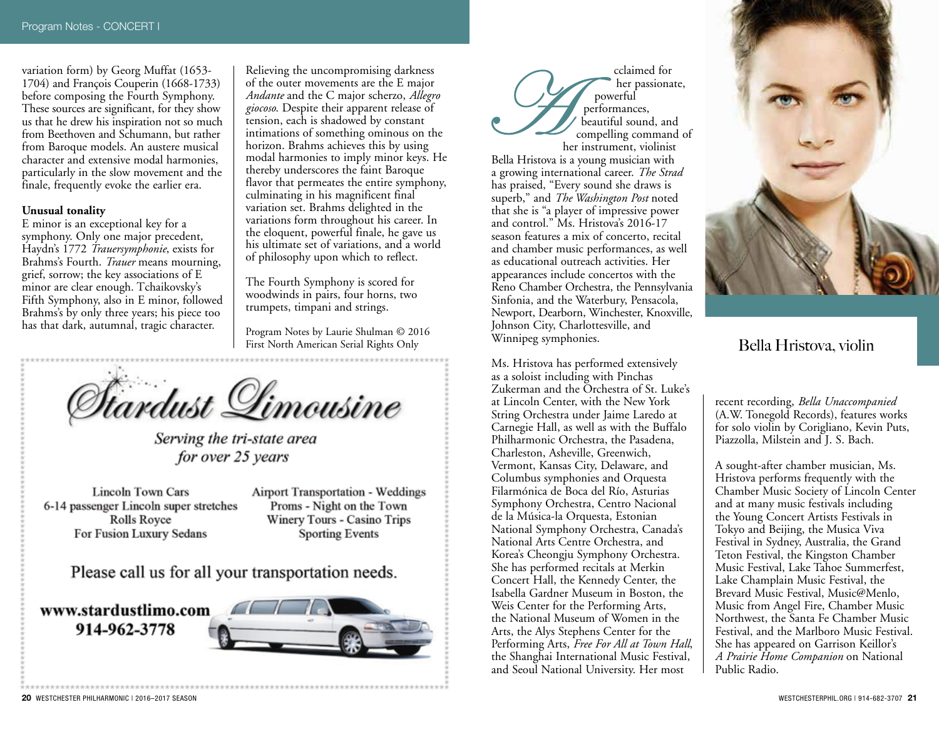variation form) by Georg Muffat (1653- 1704) and François Couperin (1668-1733) before composing the Fourth Symphony. These sources are significant, for they show us that he drew his inspiration not so much from Beethoven and Schumann, but rather from Baroque models. An austere musical character and extensive modal harmonies, particularly in the slow movement and the finale, frequently evoke the earlier era.

#### **Unusual tonality**

E minor is an exceptional key for a symphony. Only one major precedent, Haydn's 1772 *Trauersymphonie*, exists for Brahms's Fourth. *Trauer* means mourning, grief, sorrow; the key associations of E minor are clear enough. Tchaikovsky's Fifth Symphony, also in E minor, followed Brahms's by only three years; his piece too has that dark, autumnal, tragic character.

Relieving the uncompromising darkness of the outer movements are the E major *Andante* and the C major scherzo, *Allegro giocoso*. Despite their apparent release of tension, each is shadowed by constant intimations of something ominous on the horizon. Brahms achieves this by using modal harmonies to imply minor keys. He thereby underscores the faint Baroque flavor that permeates the entire symphony, culminating in his magnificent final variation set. Brahms delighted in the variations form throughout his career. In the eloquent, powerful finale, he gave us his ultimate set of variations, and a world of philosophy upon which to reflect.

The Fourth Symphony is scored for woodwinds in pairs, four horns, two trumpets, timpani and strings.

Program Notes by Laurie Shulman © 2016 First North American Serial Rights Only



Serving the tri-state area for over 25 years

**Lincoln Town Cars** 6-14 passenger Lincoln super stretches Rolls Royce For Fusion Luxury Sedans

**Airport Transportation - Weddings** Proms - Night on the Town Winery Tours - Casino Trips **Sporting Events** 

Please call us for all your transportation needs.

www.stardustlimo.com 914-962-3778



cclaimed for her passionate, powerful performances, beautiful sound, and compelling command of her instrument, violinist Bella Hristova is a young musician with a growing international career. *The Strad* has praised, "Every sound she draws is superb," and *The Washington Post* noted that she is "a player of impressive power and control." Ms. Hristova's 2016-17 season features a mix of concerto, recital and chamber music performances, as well as educational outreach activities. Her appearances include concertos with the Reno Chamber Orchestra, the Pennsylvania Sinfonia, and the Waterbury, Pensacola, Newport, Dearborn, Winchester, Knoxville, Johnson City, Charlottesville, and Winnipeg symphonies.

Ms. Hristova has performed extensively as a soloist including with Pinchas Zukerman and the Orchestra of St. Luke's at Lincoln Center, with the New York String Orchestra under Jaime Laredo at Carnegie Hall, as well as with the Buffalo Philharmonic Orchestra, the Pasadena, Charleston, Asheville, Greenwich, Vermont, Kansas City, Delaware, and Columbus symphonies and Orquesta Filarmónica de Boca del Río, Asturias Symphony Orchestra, Centro Nacional de la Música-la Orquesta, Estonian National Symphony Orchestra, Canada's National Arts Centre Orchestra, and Korea's Cheongju Symphony Orchestra. She has performed recitals at Merkin Concert Hall, the Kennedy Center, the Isabella Gardner Museum in Boston, the Weis Center for the Performing Arts, the National Museum of Women in the Arts, the Alys Stephens Center for the Performing Arts, *Free For All at Town Hall*, the Shanghai International Music Festival, and Seoul National University. Her most



Bella Hristova, violin

recent recording, *Bella Unaccompanied* (A.W. Tonegold Records), features works for solo violin by Corigliano, Kevin Puts, Piazzolla, Milstein and J. S. Bach.

A sought-after chamber musician, Ms. Hristova performs frequently with the Chamber Music Society of Lincoln Center and at many music festivals including the Young Concert Artists Festivals in Tokyo and Beijing, the Musica Viva Festival in Sydney, Australia, the Grand Teton Festival, the Kingston Chamber Music Festival, Lake Tahoe Summerfest, Lake Champlain Music Festival, the Brevard Music Festival, Music@Menlo, Music from Angel Fire, Chamber Music Northwest, the Santa Fe Chamber Music Festival, and the Marlboro Music Festival. She has appeared on Garrison Keillor's *A Prairie Home Companion* on National Public Radio.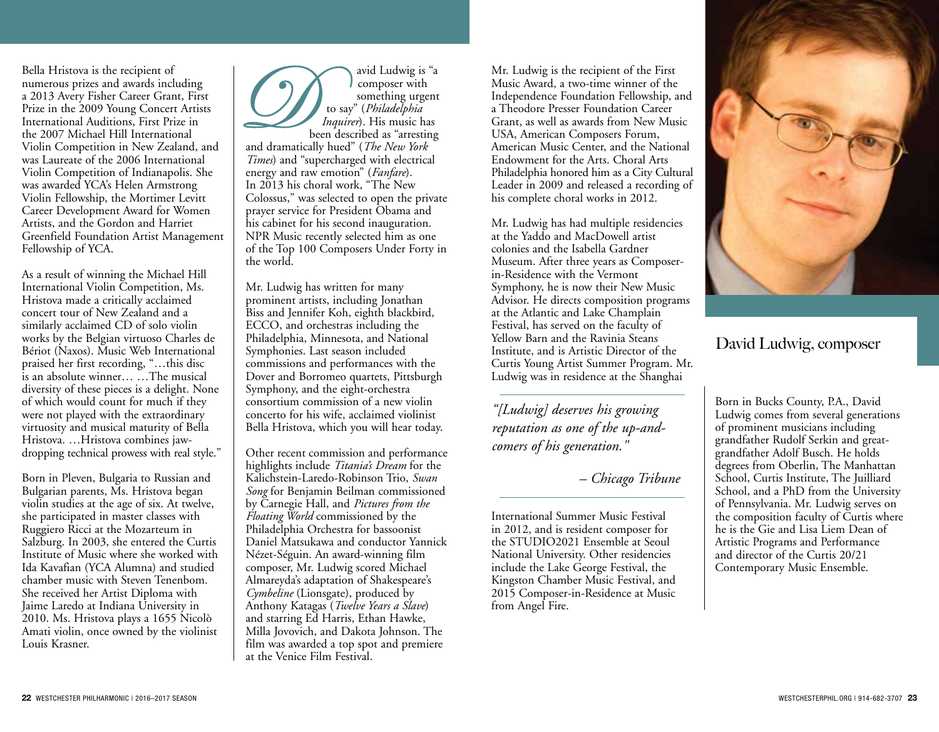Bella Hristova is the recipient of numerous prizes and awards including a 2013 Avery Fisher Career Grant, First Prize in the 2009 Young Concert Artists International Auditions, First Prize in the 2007 Michael Hill International Violin Competition in New Zealand, and was Laureate of the 2006 International Violin Competition of Indianapolis. She was awarded YCA's Helen Armstrong Violin Fellowship, the Mortimer Levitt Career Development Award for Women Artists, and the Gordon and Harriet Greenfield Foundation Artist Management Fellowship of YCA.

As a result of winning the Michael Hill International Violin Competition, Ms. Hristova made a critically acclaimed concert tour of New Zealand and a similarly acclaimed CD of solo violin works by the Belgian virtuoso Charles de Bériot (Naxos). Music Web International praised her first recording, "…this disc is an absolute winner… …The musical diversity of these pieces is a delight. None of which would count for much if they were not played with the extraordinary virtuosity and musical maturity of Bella Hristova. …Hristova combines jawdropping technical prowess with real style."

Born in Pleven, Bulgaria to Russian and Bulgarian parents, Ms. Hristova began violin studies at the age of six. At twelve, she participated in master classes with Ruggiero Ricci at the Mozarteum in Salzburg. In 2003, she entered the Curtis Institute of Music where she worked with Ida Kavafian (YCA Alumna) and studied chamber music with Steven Tenenbom. She received her Artist Diploma with Jaime Laredo at Indiana University in 2010. Ms. Hristova plays a 1655 Nicolò Amati violin, once owned by the violinist Louis Krasner.



Mr. Ludwig has written for many prominent artists, including Jonathan Biss and Jennifer Koh, eighth blackbird, ECCO, and orchestras including the Philadelphia, Minnesota, and National Symphonies. Last season included commissions and performances with the Dover and Borromeo quartets, Pittsburgh Symphony, and the eight-orchestra consortium commission of a new violin concerto for his wife, acclaimed violinist Bella Hristova, which you will hear today.

Other recent commission and performance highlights include *Titania's Dream* for the Kalichstein-Laredo-Robinson Trio, *Swan Song* for Benjamin Beilman commissioned by Carnegie Hall, and *Pictures from the Floating World* commissioned by the Philadelphia Orchestra for bassoonist Daniel Matsukawa and conductor Yannick Nézet-Séguin. An award-winning film composer, Mr. Ludwig scored Michael Almareyda's adaptation of Shakespeare's *Cymbeline* (Lionsgate), produced by Anthony Katagas (*Twelve Years a Slave*) and starring Ed Harris, Ethan Hawke, Milla Jovovich, and Dakota Johnson. The film was awarded a top spot and premiere at the Venice Film Festival.

Mr. Ludwig is the recipient of the First Music Award, a two-time winner of the Independence Foundation Fellowship, and a Theodore Presser Foundation Career Grant, as well as awards from New Music USA, American Composers Forum, American Music Center, and the National Endowment for the Arts. Choral Arts Philadelphia honored him as a City Cultural Leader in 2009 and released a recording of his complete choral works in 2012.

Mr. Ludwig has had multiple residencies at the Yaddo and MacDowell artist colonies and the Isabella Gardner Museum. After three years as Composerin-Residence with the Vermont Symphony, he is now their New Music Advisor. He directs composition programs at the Atlantic and Lake Champlain Festival, has served on the faculty of Yellow Barn and the Ravinia Steans Institute, and is Artistic Director of the Curtis Young Artist Summer Program. Mr. Ludwig was in residence at the Shanghai

*"[Ludwig] deserves his growing reputation as one of the up-andcomers of his generation."* 

## *– Chicago Tribune*

International Summer Music Festival in 2012, and is resident composer for the STUDIO2021 Ensemble at Seoul National University. Other residencies include the Lake George Festival, the Kingston Chamber Music Festival, and 2015 Composer-in-Residence at Music from Angel Fire.



# David Ludwig, composer

Born in Bucks County, P.A., David Ludwig comes from several generations of prominent musicians including grandfather Rudolf Serkin and greatgrandfather Adolf Busch. He holds degrees from Oberlin, The Manhattan School, Curtis Institute, The Juilliard School, and a PhD from the University of Pennsylvania. Mr. Ludwig serves on the composition faculty of Curtis where he is the Gie and Lisa Liem Dean of Artistic Programs and Performance and director of the Curtis 20/21 Contemporary Music Ensemble.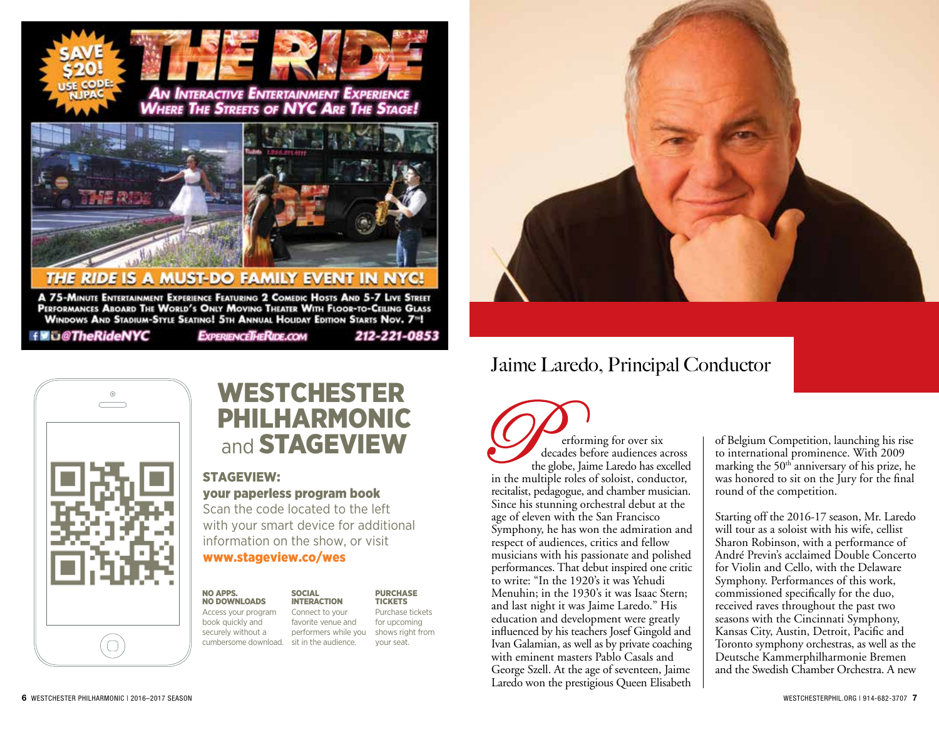

A 75-MINUTE ENTERTAINMENT EXPERIENCE FEATURING 2 COMEDIC HOSTS AND 5-7 LIVE STREET<br>PERFORMANCES ABOARD THE WORLD'S ONLY MOVING THEATER WITH FLOOR-TO-CEILING GLASS WINDOWS AND STADIUM-STYLE SEATING! 5TH ANNUAL HOLIDAY EDITION STARTS NOV. 7<sup>96</sup>!

f **U** C The Ride NYC

 $_{\odot}$ 

EXPERIENCETHERIDE.COM

# Jaime Laredo, Principal Conductor

erforming for over six decades before audiences across the globe, Jaime Laredo has excelled in the multiple roles of soloist, conductor, recitalist, pedagogue, and chamber musician. Since his stunning orchestral debut at the age of eleven with the San Francisco Symphony, he has won the admiration and respect of audiences, critics and fellow musicians with his passionate and polished performances. That debut inspired one critic to write: "In the 1920's it was Yehudi Menuhin; in the 1930's it was Isaac Stern; and last night it was Jaime Laredo." His education and development were greatly influenced by his teachers Josef Gingold and Ivan Galamian, as well as by private coaching with eminent masters Pablo Casals and George Szell. At the age of seventeen, Jaime Laredo won the prestigious Queen Elisabeth

of Belgium Competition, launching his rise to international prominence. With 2009 marking the  $50<sup>th</sup>$  anniversary of his prize, he was honored to sit on the Jury for the final round of the competition.

Starting off the 2016-17 season, Mr. Laredo will tour as a soloist with his wife, cellist Sharon Robinson, with a performance of André Previn's acclaimed Double Concerto for Violin and Cello, with the Delaware Symphony. Performances of this work, commissioned specifically for the duo, received raves throughout the past two seasons with the Cincinnati Symphony, Kansas City, Austin, Detroit, Pacific and Toronto symphony orchestras, as well as the Deutsche Kammerphilharmonie Bremen and the Swedish Chamber Orchestra. A new

 $\bigcap$ 

# WESTCHESTER PHILHARMONIC and **STAGEVIEW**

## STAGEVIEW: your paperless program book

Scan the code located to the left with your smart device for additional information on the show, or visit www.stageview.co/wes

**SOCIAL** 

NO APPS. NO DOWNLOADS Access your program book quickly and

securely without a

INTERACTION **PURCHASE TICKETS** Purchase tickets for upcoming

212-221-0853

cumbersome download. sit in the audience. Connect to your favorite venue and performers while you shows right from your seat.